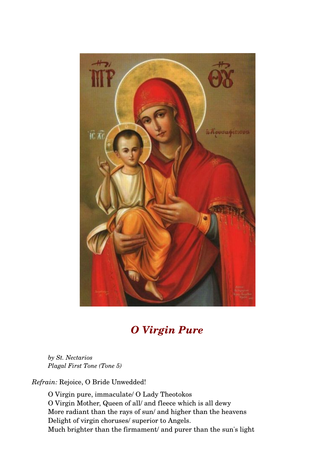

## *O Virgin Pure*

*by St. Nectarios Plagal First Tone (Tone 5)* 

*Refrain:* Rejoice, O Bride Unwedded!

O Virgin pure, immaculate/ O Lady Theotokos O Virgin Mother, Queen of all/ and fleece which is all dewy More radiant than the rays of sun/ and higher than the heavens Delight of virgin choruses/ superior to Angels. Much brighter than the firmament/ and purer than the sun's light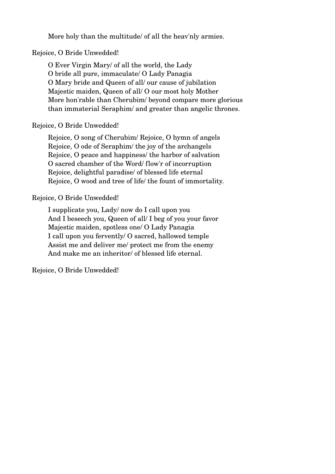More holy than the multitude/ of all the heav'nly armies.

#### Rejoice, O Bride Unwedded!

O Ever Virgin Mary/ of all the world, the Lady O bride all pure, immaculate/ O Lady Panagia O Mary bride and Queen of all/ our cause of jubilation Majestic maiden, Queen of all/ O our most holy Mother More hon'rable than Cherubim/ beyond compare more glorious than immaterial Seraphim/ and greater than angelic thrones.

#### Rejoice, O Bride Unwedded!

Rejoice, O song of Cherubim/ Rejoice, O hymn of angels Rejoice, O ode of Seraphim/ the joy of the archangels Rejoice, O peace and happiness/ the harbor of salvation O sacred chamber of the Word/ flow'r of incorruption Rejoice, delightful paradise/ of blessed life eternal Rejoice, O wood and tree of life/ the fount of immortality.

#### Rejoice, O Bride Unwedded!

I supplicate you, Lady/ now do I call upon you And I beseech you, Queen of all/ I beg of you your favor Majestic maiden, spotless one/ O Lady Panagia I call upon you fervently/ O sacred, hallowed temple Assist me and deliver me/ protect me from the enemy And make me an inheritor/ of blessed life eternal.

Rejoice, O Bride Unwedded!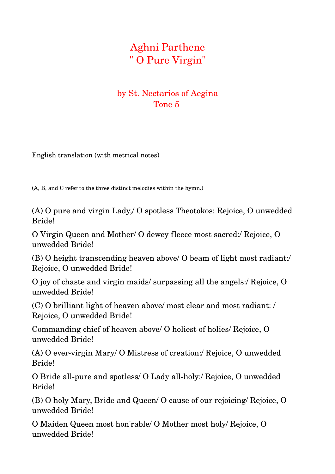# Aghni Parthene " O Pure Virgin"

### by St. Nectarios of Aegina Tone 5

English translation (with metrical notes)

(A, B, and C refer to the three distinct melodies within the hymn.)

(A) O pure and virgin Lady,/ O spotless Theotokos: Rejoice, O unwedded Bride!

O Virgin Queen and Mother/ O dewey fleece most sacred:/ Rejoice, O unwedded Bride!

(B) O height transcending heaven above/ O beam of light most radiant:/ Rejoice, O unwedded Bride!

O joy of chaste and virgin maids/ surpassing all the angels:/ Rejoice, O unwedded Bride!

(C) O brilliant light of heaven above/ most clear and most radiant: / Rejoice, O unwedded Bride!

Commanding chief of heaven above/ O holiest of holies/ Rejoice, O unwedded Bride!

 $(A)$  O ever-virgin Mary/ O Mistress of creation:/ Rejoice, O unwedded Bride!

O Bride all-pure and spotless/ O Lady all-holy:/ Rejoice, O unwedded Bride!

(B) O holy Mary, Bride and Queen/ O cause of our rejoicing/ Rejoice, O unwedded Bride!

O Maiden Queen most hon'rable/ O Mother most holy/ Rejoice, O unwedded Bride!